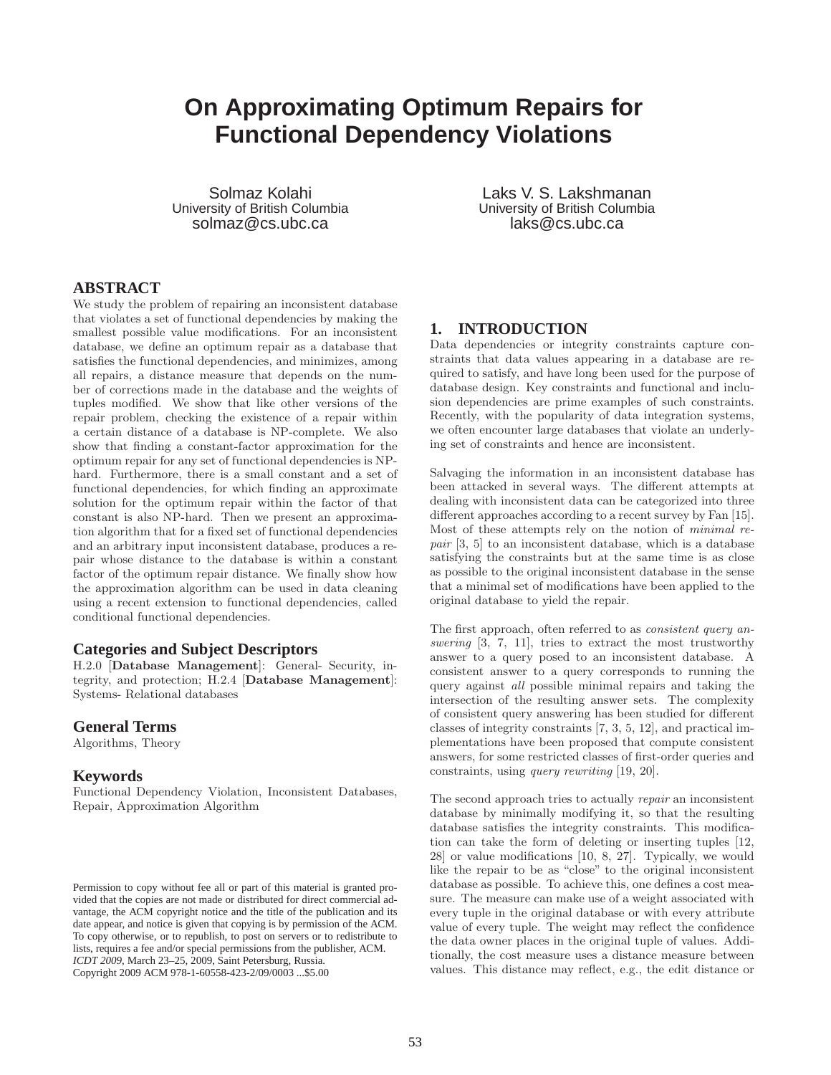# **On Approximating Optimum Repairs for Functional Dependency Violations**

Solmaz Kolahi University of British Columbia solmaz@cs.ubc.ca

Laks V. S. Lakshmanan University of British Columbia laks@cs.ubc.ca

### **ABSTRACT**

We study the problem of repairing an inconsistent database that violates a set of functional dependencies by making the smallest possible value modifications. For an inconsistent database, we define an optimum repair as a database that satisfies the functional dependencies, and minimizes, among all repairs, a distance measure that depends on the number of corrections made in the database and the weights of tuples modified. We show that like other versions of the repair problem, checking the existence of a repair within a certain distance of a database is NP-complete. We also show that finding a constant-factor approximation for the optimum repair for any set of functional dependencies is NPhard. Furthermore, there is a small constant and a set of functional dependencies, for which finding an approximate solution for the optimum repair within the factor of that constant is also NP-hard. Then we present an approximation algorithm that for a fixed set of functional dependencies and an arbitrary input inconsistent database, produces a repair whose distance to the database is within a constant factor of the optimum repair distance. We finally show how the approximation algorithm can be used in data cleaning using a recent extension to functional dependencies, called conditional functional dependencies.

### **Categories and Subject Descriptors**

H.2.0 [Database Management]: General- Security, integrity, and protection; H.2.4 [Database Management]: Systems- Relational databases

### **General Terms**

Algorithms, Theory

### **Keywords**

Functional Dependency Violation, Inconsistent Databases, Repair, Approximation Algorithm

## **1. INTRODUCTION**

Data dependencies or integrity constraints capture constraints that data values appearing in a database are required to satisfy, and have long been used for the purpose of database design. Key constraints and functional and inclusion dependencies are prime examples of such constraints. Recently, with the popularity of data integration systems, we often encounter large databases that violate an underlying set of constraints and hence are inconsistent.

Salvaging the information in an inconsistent database has been attacked in several ways. The different attempts at dealing with inconsistent data can be categorized into three different approaches according to a recent survey by Fan [15]. Most of these attempts rely on the notion of minimal repair [3, 5] to an inconsistent database, which is a database satisfying the constraints but at the same time is as close as possible to the original inconsistent database in the sense that a minimal set of modifications have been applied to the original database to yield the repair.

The first approach, often referred to as consistent query answering  $[3, 7, 11]$ , tries to extract the most trustworthy answer to a query posed to an inconsistent database. A consistent answer to a query corresponds to running the query against all possible minimal repairs and taking the intersection of the resulting answer sets. The complexity of consistent query answering has been studied for different classes of integrity constraints [7, 3, 5, 12], and practical implementations have been proposed that compute consistent answers, for some restricted classes of first-order queries and constraints, using query rewriting [19, 20].

The second approach tries to actually repair an inconsistent database by minimally modifying it, so that the resulting database satisfies the integrity constraints. This modification can take the form of deleting or inserting tuples [12, 28] or value modifications [10, 8, 27]. Typically, we would like the repair to be as "close" to the original inconsistent database as possible. To achieve this, one defines a cost measure. The measure can make use of a weight associated with every tuple in the original database or with every attribute value of every tuple. The weight may reflect the confidence the data owner places in the original tuple of values. Additionally, the cost measure uses a distance measure between values. This distance may reflect, e.g., the edit distance or

Permission to copy without fee all or part of this material is granted provided that the copies are not made or distributed for direct commercial advantage, the ACM copyright notice and the title of the publication and its date appear, and notice is given that copying is by permission of the ACM. To copy otherwise, or to republish, to post on servers or to redistribute to lists, requires a fee and/or special permissions from the publisher, ACM. *ICDT 2009*, March 23–25, 2009, Saint Petersburg, Russia. Copyright 2009 ACM 978-1-60558-423-2/09/0003 ...\$5.00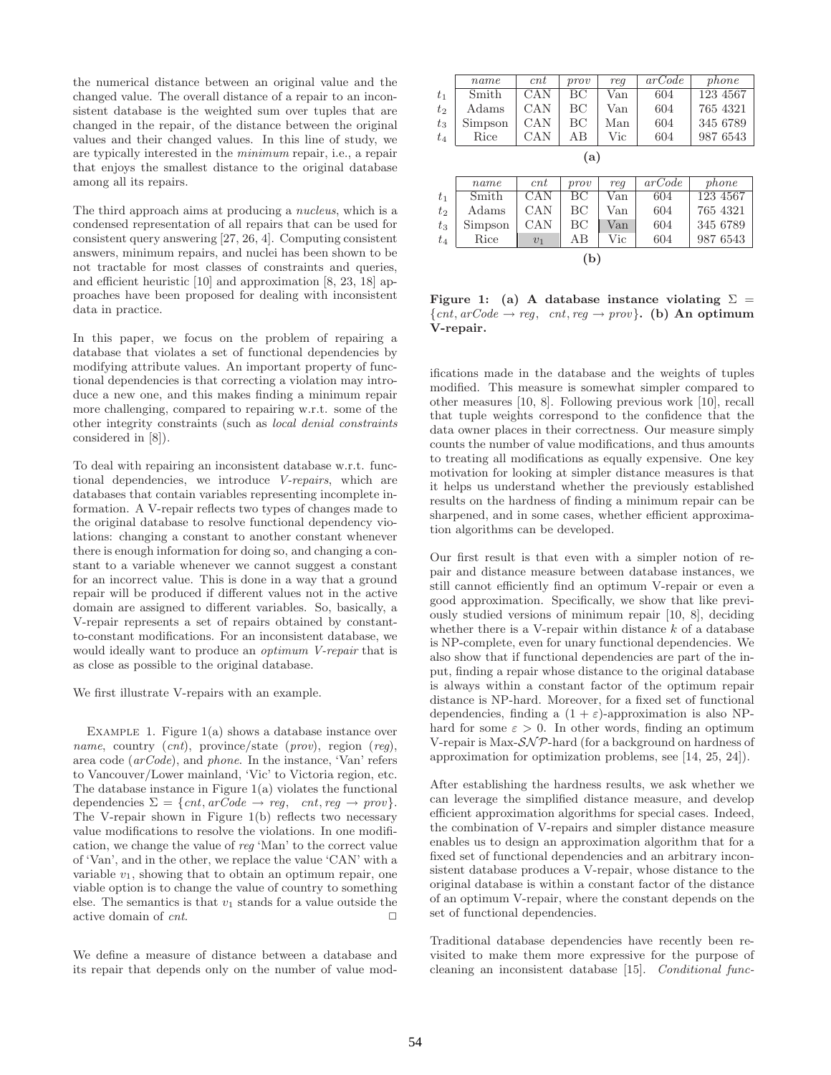the numerical distance between an original value and the changed value. The overall distance of a repair to an inconsistent database is the weighted sum over tuples that are changed in the repair, of the distance between the original values and their changed values. In this line of study, we are typically interested in the minimum repair, i.e., a repair that enjoys the smallest distance to the original database among all its repairs.

The third approach aims at producing a nucleus, which is a condensed representation of all repairs that can be used for consistent query answering [27, 26, 4]. Computing consistent answers, minimum repairs, and nuclei has been shown to be not tractable for most classes of constraints and queries, and efficient heuristic [10] and approximation [8, 23, 18] approaches have been proposed for dealing with inconsistent data in practice.

In this paper, we focus on the problem of repairing a database that violates a set of functional dependencies by modifying attribute values. An important property of functional dependencies is that correcting a violation may introduce a new one, and this makes finding a minimum repair more challenging, compared to repairing w.r.t. some of the other integrity constraints (such as local denial constraints considered in [8]).

To deal with repairing an inconsistent database w.r.t. functional dependencies, we introduce V-repairs, which are databases that contain variables representing incomplete information. A V-repair reflects two types of changes made to the original database to resolve functional dependency violations: changing a constant to another constant whenever there is enough information for doing so, and changing a constant to a variable whenever we cannot suggest a constant for an incorrect value. This is done in a way that a ground repair will be produced if different values not in the active domain are assigned to different variables. So, basically, a V-repair represents a set of repairs obtained by constantto-constant modifications. For an inconsistent database, we would ideally want to produce an optimum V-repair that is as close as possible to the original database.

We first illustrate V-repairs with an example.

EXAMPLE 1. Figure  $1(a)$  shows a database instance over name, country  $(cnt)$ , province/state (prov), region (reg), area code (arCode), and phone. In the instance, 'Van' refers to Vancouver/Lower mainland, 'Vic' to Victoria region, etc. The database instance in Figure  $1(a)$  violates the functional dependencies  $\Sigma = \{cnt, arCode \rightarrow reg, \text{ } cnt, reg \rightarrow prov\}.$ The V-repair shown in Figure 1(b) reflects two necessary value modifications to resolve the violations. In one modification, we change the value of reg 'Man' to the correct value of 'Van', and in the other, we replace the value 'CAN' with a variable  $v_1$ , showing that to obtain an optimum repair, one viable option is to change the value of country to something else. The semantics is that  $v_1$  stands for a value outside the active domain of  $cnt.$   $\Box$ 

We define a measure of distance between a database and its repair that depends only on the number of value mod-

|         | name    | cnt | prov | req | arCode | phone    |  |  |  |  |
|---------|---------|-----|------|-----|--------|----------|--|--|--|--|
| $t_{1}$ | Smith   | CAN | ВC   | Van | 604    | 123 4567 |  |  |  |  |
| $t_2$   | Adams   | CAN | ВC   | Van | 604    | 765 4321 |  |  |  |  |
| $t_3$   | Simpson | CAN | ВC   | Man | 604    | 345 6789 |  |  |  |  |
| $t_4$   | Rice    | CAN | AB   | Vic | 604    | 987 6543 |  |  |  |  |
| (a)     |         |     |      |     |        |          |  |  |  |  |

|         | name    | cnt   | prov | req                  | arCode | phone    |  |  |  |  |
|---------|---------|-------|------|----------------------|--------|----------|--|--|--|--|
| $t_{1}$ | Smith   | CAN   | ВC   | Van                  | 604    | 123 4567 |  |  |  |  |
| $t_2$   | Adams   | CAN   | ВC   | Van                  | 604    | 765 4321 |  |  |  |  |
| $t_3$   | Simpson | CAN   | ВC   | $\operatorname{Van}$ | 604    | 345 6789 |  |  |  |  |
| $t_4$   | Rice    | $v_1$ | ΑB   | Vic                  | 604    | 987 6543 |  |  |  |  |
| (b      |         |       |      |                      |        |          |  |  |  |  |

Figure 1: (a) A database instance violating  $\Sigma =$  $\{cnt, arCode \rightarrow reg, \text{ }cnt, reg \rightarrow prov\}.$  (b) An optimum V-repair.

ifications made in the database and the weights of tuples modified. This measure is somewhat simpler compared to other measures [10, 8]. Following previous work [10], recall that tuple weights correspond to the confidence that the data owner places in their correctness. Our measure simply counts the number of value modifications, and thus amounts to treating all modifications as equally expensive. One key motivation for looking at simpler distance measures is that it helps us understand whether the previously established results on the hardness of finding a minimum repair can be sharpened, and in some cases, whether efficient approximation algorithms can be developed.

Our first result is that even with a simpler notion of repair and distance measure between database instances, we still cannot efficiently find an optimum V-repair or even a good approximation. Specifically, we show that like previously studied versions of minimum repair [10, 8], deciding whether there is a V-repair within distance  $k$  of a database is NP-complete, even for unary functional dependencies. We also show that if functional dependencies are part of the input, finding a repair whose distance to the original database is always within a constant factor of the optimum repair distance is NP-hard. Moreover, for a fixed set of functional dependencies, finding a  $(1 + \varepsilon)$ -approximation is also NPhard for some  $\varepsilon > 0$ . In other words, finding an optimum V-repair is Max- $\mathcal{SNP}$ -hard (for a background on hardness of approximation for optimization problems, see [14, 25, 24]).

After establishing the hardness results, we ask whether we can leverage the simplified distance measure, and develop efficient approximation algorithms for special cases. Indeed, the combination of V-repairs and simpler distance measure enables us to design an approximation algorithm that for a fixed set of functional dependencies and an arbitrary inconsistent database produces a V-repair, whose distance to the original database is within a constant factor of the distance of an optimum V-repair, where the constant depends on the set of functional dependencies.

Traditional database dependencies have recently been revisited to make them more expressive for the purpose of cleaning an inconsistent database [15]. Conditional func-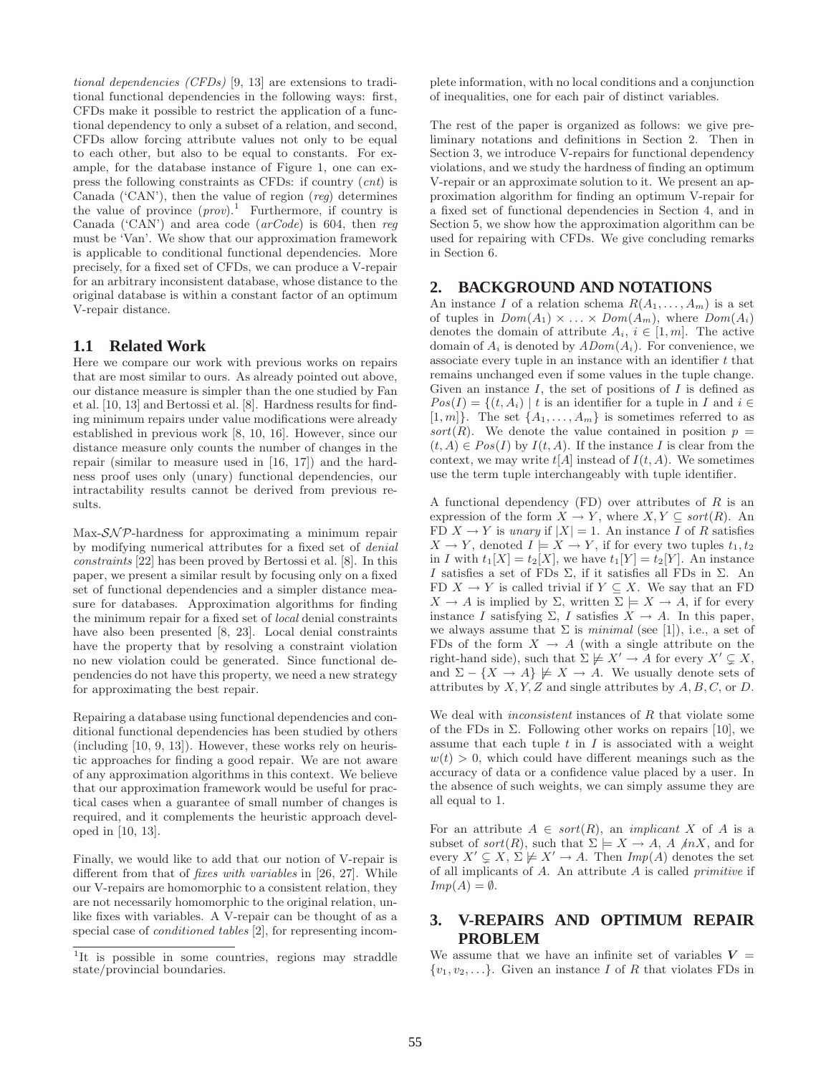tional dependencies (CFDs) [9, 13] are extensions to traditional functional dependencies in the following ways: first, CFDs make it possible to restrict the application of a functional dependency to only a subset of a relation, and second, CFDs allow forcing attribute values not only to be equal to each other, but also to be equal to constants. For example, for the database instance of Figure 1, one can express the following constraints as CFDs: if country (cnt) is Canada ('CAN'), then the value of region  $reg$ ) determines the value of province  $(prov)$ .<sup>1</sup> Furthermore, if country is Canada ('CAN') and area code  $(arCode)$  is 604, then reg must be 'Van'. We show that our approximation framework is applicable to conditional functional dependencies. More precisely, for a fixed set of CFDs, we can produce a V-repair for an arbitrary inconsistent database, whose distance to the original database is within a constant factor of an optimum V-repair distance.

### **1.1 Related Work**

Here we compare our work with previous works on repairs that are most similar to ours. As already pointed out above, our distance measure is simpler than the one studied by Fan et al. [10, 13] and Bertossi et al. [8]. Hardness results for finding minimum repairs under value modifications were already established in previous work [8, 10, 16]. However, since our distance measure only counts the number of changes in the repair (similar to measure used in [16, 17]) and the hardness proof uses only (unary) functional dependencies, our intractability results cannot be derived from previous results.

 $Max-S\mathcal{N}P$ -hardness for approximating a minimum repair by modifying numerical attributes for a fixed set of denial constraints [22] has been proved by Bertossi et al. [8]. In this paper, we present a similar result by focusing only on a fixed set of functional dependencies and a simpler distance measure for databases. Approximation algorithms for finding the minimum repair for a fixed set of local denial constraints have also been presented [8, 23]. Local denial constraints have the property that by resolving a constraint violation no new violation could be generated. Since functional dependencies do not have this property, we need a new strategy for approximating the best repair.

Repairing a database using functional dependencies and conditional functional dependencies has been studied by others (including [10, 9, 13]). However, these works rely on heuristic approaches for finding a good repair. We are not aware of any approximation algorithms in this context. We believe that our approximation framework would be useful for practical cases when a guarantee of small number of changes is required, and it complements the heuristic approach developed in [10, 13].

Finally, we would like to add that our notion of V-repair is different from that of fixes with variables in [26, 27]. While our V-repairs are homomorphic to a consistent relation, they are not necessarily homomorphic to the original relation, unlike fixes with variables. A V-repair can be thought of as a special case of conditioned tables [2], for representing incomplete information, with no local conditions and a conjunction of inequalities, one for each pair of distinct variables.

The rest of the paper is organized as follows: we give preliminary notations and definitions in Section 2. Then in Section 3, we introduce V-repairs for functional dependency violations, and we study the hardness of finding an optimum V-repair or an approximate solution to it. We present an approximation algorithm for finding an optimum V-repair for a fixed set of functional dependencies in Section 4, and in Section 5, we show how the approximation algorithm can be used for repairing with CFDs. We give concluding remarks in Section 6.

### **2. BACKGROUND AND NOTATIONS**

An instance I of a relation schema  $R(A_1, \ldots, A_m)$  is a set of tuples in  $Dom(A_1) \times ... \times Dom(A_m)$ , where  $Dom(A_i)$ denotes the domain of attribute  $A_i$ ,  $i \in [1, m]$ . The active domain of  $A_i$  is denoted by  $ADom(A_i)$ . For convenience, we associate every tuple in an instance with an identifier t that remains unchanged even if some values in the tuple change. Given an instance  $I$ , the set of positions of  $I$  is defined as  $Pos(I) = \{(t, A_i) | t \text{ is an identifier for a tuple in } I \text{ and } i \in$  $[1, m]$ . The set  $\{A_1, \ldots, A_m\}$  is sometimes referred to as sort(R). We denote the value contained in position  $p =$  $(t, A) \in Pos(I)$  by  $I(t, A)$ . If the instance I is clear from the context, we may write  $t[A]$  instead of  $I(t, A)$ . We sometimes use the term tuple interchangeably with tuple identifier.

A functional dependency  $(FD)$  over attributes of R is an expression of the form  $X \to Y$ , where  $X, Y \subseteq sort(R)$ . An FD  $X \to Y$  is unary if  $|X| = 1$ . An instance I of R satisfies  $X \to Y$ , denoted  $I \models X \to Y$ , if for every two tuples  $t_1, t_2$ in I with  $t_1[X] = t_2[X]$ , we have  $t_1[Y] = t_2[Y]$ . An instance I satisfies a set of FDs  $\Sigma$ , if it satisfies all FDs in  $\Sigma$ . An FD  $X \to Y$  is called trivial if  $Y \subseteq X$ . We say that an FD  $X \to A$  is implied by  $\Sigma$ , written  $\Sigma \models X \to A$ , if for every instance I satisfying  $\Sigma$ , I satisfies  $X \to A$ . In this paper, we always assume that  $\Sigma$  is minimal (see [1]), i.e., a set of FDs of the form  $X \to A$  (with a single attribute on the right-hand side), such that  $\Sigma \not\models X' \rightarrow A$  for every  $X' \subsetneq X$ , and  $\Sigma - \{X \to A\} \not\models X \to A$ . We usually denote sets of attributes by  $X, Y, Z$  and single attributes by  $A, B, C$ , or  $D$ .

We deal with *inconsistent* instances of R that violate some of the FDs in  $\Sigma$ . Following other works on repairs [10], we assume that each tuple  $t$  in  $I$  is associated with a weight  $w(t) > 0$ , which could have different meanings such as the accuracy of data or a confidence value placed by a user. In the absence of such weights, we can simply assume they are all equal to 1.

For an attribute  $A \in sort(R)$ , an *implicant* X of A is a subset of sort(R), such that  $\Sigma \models X \rightarrow A$ , A  $/nX$ , and for every  $X' \subsetneq X$ ,  $\Sigma \not\models X' \rightarrow A$ . Then  $Imp(A)$  denotes the set of all implicants of  $A$ . An attribute  $A$  is called *primitive* if  $Imp(A) = \emptyset.$ 

# **3. V-REPAIRS AND OPTIMUM REPAIR PROBLEM**

We assume that we have an infinite set of variables  $V =$  $\{v_1, v_2, \ldots\}$ . Given an instance I of R that violates FDs in

<sup>&</sup>lt;sup>1</sup>It is possible in some countries, regions may straddle state/provincial boundaries.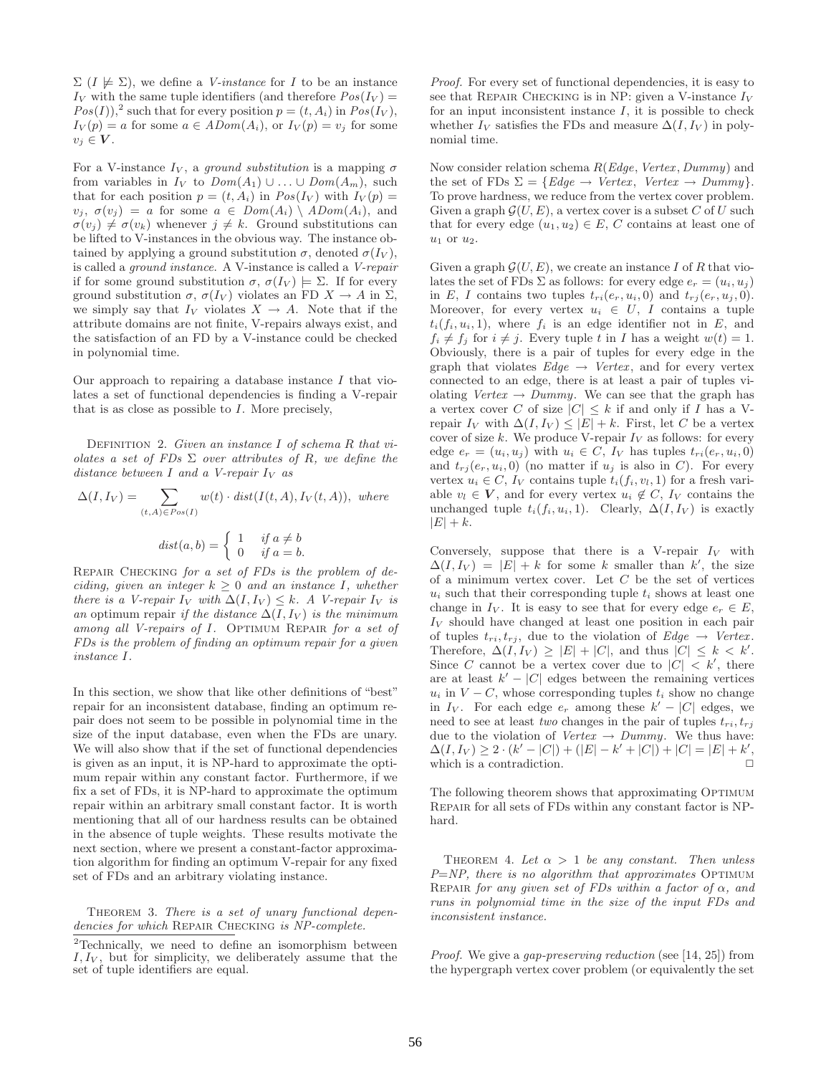$\Sigma$  ( $I \not\models \Sigma$ ), we define a *V-instance* for *I* to be an instance  $I_V$  with the same tuple identifiers (and therefore  $Pos(I_V)$  =  $Pos(I))$ ,<sup>2</sup> such that for every position  $p = (t, A_i)$  in  $Pos(I_V)$ ,  $I_V(p) = a$  for some  $a \in ADom(A_i)$ , or  $I_V(p) = v_j$  for some  $v_j \in V$ .

For a V-instance  $I_V$ , a ground substitution is a mapping  $\sigma$ from variables in  $I_V$  to  $Dom(A_1) \cup ... \cup Dom(A_m)$ , such that for each position  $p = (t, A_i)$  in  $Pos(I_V)$  with  $I_V(p) =$  $v_i, \sigma(v_i) = a$  for some  $a \in Dom(A_i) \setminus ADom(A_i)$ , and  $\sigma(v_j) \neq \sigma(v_k)$  whenever  $j \neq k$ . Ground substitutions can be lifted to V-instances in the obvious way. The instance obtained by applying a ground substitution  $\sigma$ , denoted  $\sigma(I_V)$ , is called a ground instance. A V-instance is called a V-repair if for some ground substitution  $\sigma$ ,  $\sigma(I_V) \models \Sigma$ . If for every ground substitution  $\sigma$ ,  $\sigma(I_V)$  violates an FD  $X \to A$  in  $\Sigma$ , we simply say that  $I_V$  violates  $X \to A$ . Note that if the attribute domains are not finite, V-repairs always exist, and the satisfaction of an FD by a V-instance could be checked in polynomial time.

Our approach to repairing a database instance  $I$  that violates a set of functional dependencies is finding a V-repair that is as close as possible to  $I$ . More precisely,

DEFINITION 2. Given an instance I of schema R that violates a set of FDs  $\Sigma$  over attributes of R, we define the distance between  $I$  and a V-repair  $I_V$  as

$$
\Delta(I, I_V) = \sum_{(t, A) \in Pos(I)} w(t) \cdot dist(I(t, A), I_V(t, A)), \text{ where}
$$

$$
dist(a, b) = \begin{cases} 1 & \text{if } a \neq b \\ 0 & \text{if } a = b. \end{cases}
$$

Repair Checking for a set of FDs is the problem of deciding, given an integer  $k \geq 0$  and an instance I, whether there is a V-repair  $I_V$  with  $\Delta(I, I_V) \leq k$ . A V-repair  $I_V$  is an optimum repair if the distance  $\Delta(I, I_V)$  is the minimum among all V-repairs of  $I$ . Optimum Repair for a set of FDs is the problem of finding an optimum repair for a given instance I.

In this section, we show that like other definitions of "best" repair for an inconsistent database, finding an optimum repair does not seem to be possible in polynomial time in the size of the input database, even when the FDs are unary. We will also show that if the set of functional dependencies is given as an input, it is NP-hard to approximate the optimum repair within any constant factor. Furthermore, if we fix a set of FDs, it is NP-hard to approximate the optimum repair within an arbitrary small constant factor. It is worth mentioning that all of our hardness results can be obtained in the absence of tuple weights. These results motivate the next section, where we present a constant-factor approximation algorithm for finding an optimum V-repair for any fixed set of FDs and an arbitrary violating instance.

THEOREM 3. There is a set of unary functional dependencies for which Repair Checking is NP-complete.

Proof. For every set of functional dependencies, it is easy to see that REPAIR CHECKING is in NP: given a V-instance  $I_V$ for an input inconsistent instance  $I$ , it is possible to check whether  $I_V$  satisfies the FDs and measure  $\Delta(I, I_V)$  in polynomial time.

Now consider relation schema  $R(Edge, Vertex, Dummy)$  and the set of FDs  $\Sigma = \{Edge \rightarrow Vertex, Vertex \rightarrow Dummy\}.$ To prove hardness, we reduce from the vertex cover problem. Given a graph  $\mathcal{G}(U, E)$ , a vertex cover is a subset C of U such that for every edge  $(u_1, u_2) \in E$ , C contains at least one of  $u_1$  or  $u_2$ .

Given a graph  $\mathcal{G}(U, E)$ , we create an instance I of R that violates the set of FDs  $\Sigma$  as follows: for every edge  $e_r = (u_i, u_j)$ in E, I contains two tuples  $t_{ri}(e_r, u_i, 0)$  and  $t_{rj}(e_r, u_j, 0)$ . Moreover, for every vertex  $u_i \in U$ , I contains a tuple  $t_i(f_i, u_i, 1)$ , where  $f_i$  is an edge identifier not in E, and  $f_i \neq f_j$  for  $i \neq j$ . Every tuple t in I has a weight  $w(t) = 1$ . Obviously, there is a pair of tuples for every edge in the graph that violates  $Edge \rightarrow Vertex$ , and for every vertex connected to an edge, there is at least a pair of tuples violating  $Vertex \rightarrow Dummy$ . We can see that the graph has a vertex cover C of size  $|C| \leq k$  if and only if I has a Vrepair  $I_V$  with  $\Delta(I, I_V) \leq |E| + k$ . First, let C be a vertex cover of size k. We produce V-repair  $I_V$  as follows: for every edge  $e_r = (u_i, u_j)$  with  $u_i \in C$ ,  $I_V$  has tuples  $t_{ri}(e_r, u_i, 0)$ and  $t_{rj}(e_r, u_i, 0)$  (no matter if  $u_j$  is also in C). For every vertex  $u_i \in C$ ,  $I_V$  contains tuple  $t_i(f_i, v_l, 1)$  for a fresh variable  $v_l \in V$ , and for every vertex  $u_i \notin C$ ,  $I_V$  contains the unchanged tuple  $t_i(f_i, u_i, 1)$ . Clearly,  $\Delta(I, I_V)$  is exactly  $|E| + k$ .

Conversely, suppose that there is a V-repair  $I_V$  with  $\Delta(I, I_V) = |E| + k$  for some k smaller than k', the size of a minimum vertex cover. Let  $C$  be the set of vertices  $u_i$  such that their corresponding tuple  $t_i$  shows at least one change in  $I_V$ . It is easy to see that for every edge  $e_r \in E$ ,  $I_V$  should have changed at least one position in each pair of tuples  $t_{ri}, t_{ri}$ , due to the violation of  $Edge \rightarrow Vertex$ . Therefore,  $\Delta(I, I_V) \geq |E| + |C|$ , and thus  $|C| \leq k \leq k'$ . Since C cannot be a vertex cover due to  $|C| < k'$ , there are at least  $k' - |C|$  edges between the remaining vertices  $u_i$  in  $V - C$ , whose corresponding tuples  $t_i$  show no change in  $I_V$ . For each edge  $e_r$  among these  $k' - |C|$  edges, we need to see at least *two* changes in the pair of tuples  $t_{ri}$ ,  $t_{rj}$ due to the violation of  $Vertex \rightarrow Dummy$ . We thus have:  $\Delta(I, I_V) \geq 2 \cdot (k' - |C|) + (|E| - k' + |C|) + |C| = |E| + k',$ which is a contradiction.

The following theorem shows that approximating OPTIMUM Repair for all sets of FDs within any constant factor is NPhard.

THEOREM 4. Let  $\alpha > 1$  be any constant. Then unless  $P=NP$ , there is no algorithm that approximates OPTIMUM REPAIR for any given set of FDs within a factor of  $\alpha$ , and runs in polynomial time in the size of the input FDs and inconsistent instance.

Proof. We give a gap-preserving reduction (see [14, 25]) from the hypergraph vertex cover problem (or equivalently the set

<sup>2</sup>Technically, we need to define an isomorphism between  $I, I_V$ , but for simplicity, we deliberately assume that the set of tuple identifiers are equal.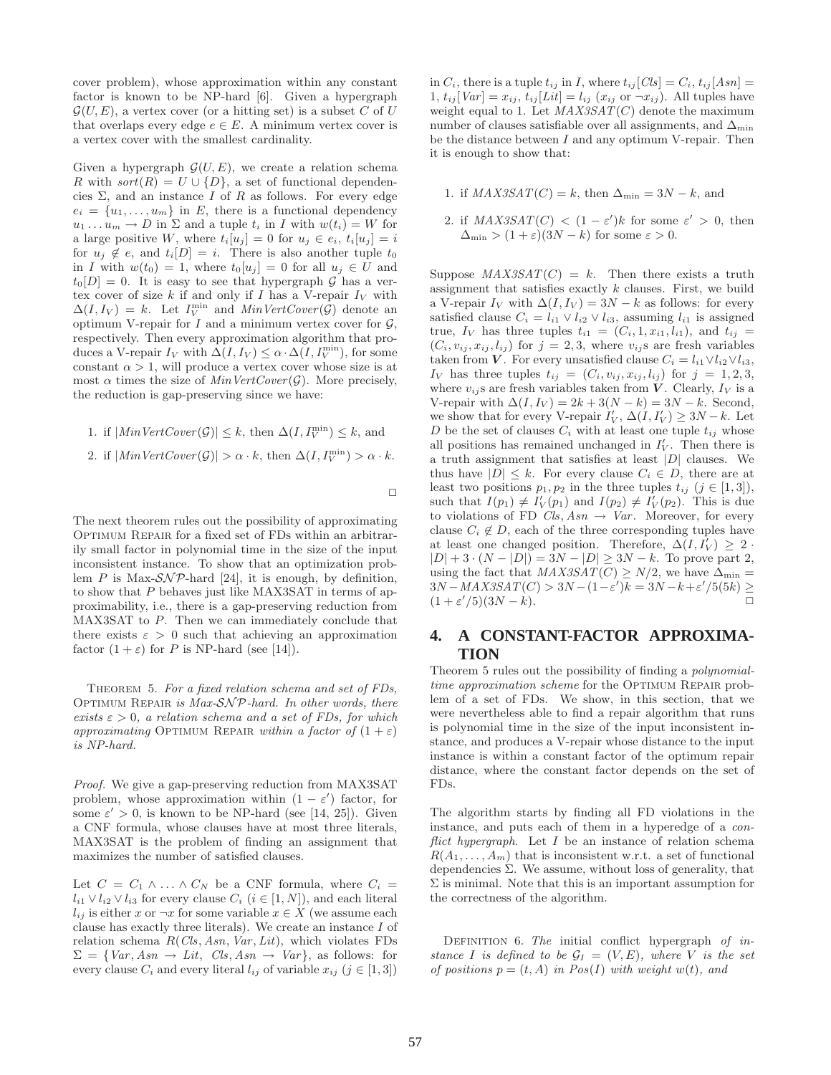cover problem), whose approximation within any constant factor is known to be NP-hard [6]. Given a hypergraph  $\mathcal{G}(U, E)$ , a vertex cover (or a hitting set) is a subset C of U that overlaps every edge  $e \in E$ . A minimum vertex cover is a vertex cover with the smallest cardinality.

Given a hypergraph  $\mathcal{G}(U, E)$ , we create a relation schema R with  $sort(R) = U \cup \{D\}$ , a set of functional dependencies  $\Sigma$ , and an instance I of R as follows. For every edge  $e_i = \{u_1, \ldots, u_m\}$  in E, there is a functional dependency  $u_1 \dots u_m \to D$  in  $\Sigma$  and a tuple  $t_i$  in I with  $w(t_i) = W$  for a large positive W, where  $t_i[u_j] = 0$  for  $u_j \in e_i$ ,  $t_i[u_j] = i$ for  $u_j \notin e$ , and  $t_i[D] = i$ . There is also another tuple  $t_0$ in I with  $w(t_0) = 1$ , where  $t_0[u_j] = 0$  for all  $u_j \in U$  and  $t_0[D] = 0$ . It is easy to see that hypergraph G has a vertex cover of size  $k$  if and only if  $I$  has a V-repair  $I_V$  with  $\Delta(I, I_V) = k$ . Let  $I_V^{\text{min}}$  and  $MinVertCover(\mathcal{G})$  denote an optimum V-repair for  $I$  and a minimum vertex cover for  $\mathcal{G}$ , respectively. Then every approximation algorithm that produces a V-repair  $I_V$  with  $\Delta(I, I_V) \leq \alpha \cdot \Delta(I, I_V^{\min})$ , for some constant  $\alpha > 1$ , will produce a vertex cover whose size is at most  $\alpha$  times the size of  $MinVertCover(\mathcal{G})$ . More precisely, the reduction is gap-preserving since we have:

\n- 1. if 
$$
|\text{MinVertCover}(\mathcal{G})| \leq k
$$
, then  $\Delta(I, I_V^{\min}) \leq k$ , and
\n- 2. if  $|\text{MinVertCover}(\mathcal{G})| > \alpha \cdot k$ , then  $\Delta(I, I_V^{\min}) > \alpha \cdot k$ .
\n

 $\Box$ 

The next theorem rules out the possibility of approximating OPTIMUM REPAIR for a fixed set of FDs within an arbitrarily small factor in polynomial time in the size of the input inconsistent instance. To show that an optimization problem P is Max- $\mathcal{SNP}$ -hard [24], it is enough, by definition, to show that  $P$  behaves just like MAX3SAT in terms of approximability, i.e., there is a gap-preserving reduction from MAX3SAT to P. Then we can immediately conclude that there exists  $\varepsilon > 0$  such that achieving an approximation factor  $(1 + \varepsilon)$  for P is NP-hard (see [14]).

THEOREM 5. For a fixed relation schema and set of FDs, OPTIMUM REPAIR is  $Max-SNP$ -hard. In other words, there exists  $\varepsilon > 0$ , a relation schema and a set of FDs, for which approximating Optimum REPAIR within a factor of  $(1 + \varepsilon)$ is NP-hard.

Proof. We give a gap-preserving reduction from MAX3SAT problem, whose approximation within  $(1 - \varepsilon')$  factor, for some  $\varepsilon' > 0$ , is known to be NP-hard (see [14, 25]). Given a CNF formula, whose clauses have at most three literals, MAX3SAT is the problem of finding an assignment that maximizes the number of satisfied clauses.

Let  $C = C_1 \wedge \ldots \wedge C_N$  be a CNF formula, where  $C_i$  =  $l_{i1} \vee l_{i2} \vee l_{i3}$  for every clause  $C_i$   $(i \in [1, N])$ , and each literal  $l_{ij}$  is either x or  $\neg x$  for some variable  $x \in X$  (we assume each clause has exactly three literals). We create an instance I of relation schema  $R(Cls, Asn, Var, Lit)$ , which violates FDs  $\Sigma = \{Var, Asn \rightarrow Lit, Cls, Asn \rightarrow Var\},\text{ as follows: for }$ every clause  $C_i$  and every literal  $l_{ij}$  of variable  $x_{ij}$   $(j \in [1,3])$  in  $C_i$ , there is a tuple  $t_{ij}$  in I, where  $t_{ij}$  [Cls] =  $C_i$ ,  $t_{ij}$  [Asn] = 1,  $t_{ij}$ [Var] =  $x_{ij}$ ,  $t_{ij}$ [Lit] =  $l_{ij}$  ( $x_{ij}$  or  $\neg x_{ij}$ ). All tuples have weight equal to 1. Let  $MAX3SAT(C)$  denote the maximum number of clauses satisfiable over all assignments, and  $\Delta_{\min}$ be the distance between  $I$  and any optimum V-repair. Then it is enough to show that:

- 1. if  $MAX3SAT(C) = k$ , then  $\Delta_{\min} = 3N k$ , and
- 2. if  $MAX3SAT(C) < (1 \varepsilon')k$  for some  $\varepsilon' > 0$ , then  $\Delta_{\min} > (1 + \varepsilon)(3N - k)$  for some  $\varepsilon > 0$ .

Suppose  $MAX3SAT(C) = k$ . Then there exists a truth assignment that satisfies exactly k clauses. First, we build a V-repair  $I_V$  with  $\Delta(I, I_V) = 3N - k$  as follows: for every satisfied clause  $C_i = l_{i1} \vee l_{i2} \vee l_{i3}$ , assuming  $l_{i1}$  is assigned true,  $I_V$  has three tuples  $t_{i1} = (C_i, 1, x_{i1}, l_{i1}),$  and  $t_{ij}$  $(C_i, v_{ij}, x_{ij}, l_{ij})$  for  $j = 2, 3$ , where  $v_{ij}$ s are fresh variables taken from V. For every unsatisfied clause  $C_i = l_{i1} \vee l_{i2} \vee l_{i3}$ ,  $I_V$  has three tuples  $t_{ij} = (C_i, v_{ij}, x_{ij}, l_{ij})$  for  $j = 1, 2, 3$ , where  $v_{ij}$ s are fresh variables taken from  $\boldsymbol{V}$ . Clearly,  $I_V$  is a V-repair with  $\Delta(I, I_V) = 2k + 3(N - k) = 3N - k$ . Second, we show that for every V-repair  $I_V'$ ,  $\Delta(I, I_V') \geq 3N - k$ . Let D be the set of clauses  $C_i$  with at least one tuple  $t_{ij}$  whose all positions has remained unchanged in  $I_V'$ . Then there is a truth assignment that satisfies at least  $|D|$  clauses. We thus have  $|D| \leq k$ . For every clause  $C_i \in D$ , there are at least two positions  $p_1, p_2$  in the three tuples  $t_{ij}$   $(j \in [1, 3])$ , such that  $I(p_1) \neq I'_V(p_1)$  and  $I(p_2) \neq I'_V(p_2)$ . This is due to violations of FD  $Cls, Asn \rightarrow Var$ . Moreover, for every clause  $C_i \notin D$ , each of the three corresponding tuples have at least one changed position. Therefore,  $\Delta(I, I_V') \geq 2$ .  $|D| + 3 \cdot (N - |D|) = 3N - |D| \ge 3N - k$ . To prove part 2, using the fact that  $MAX3SAT(C) \geq N/2$ , we have  $\Delta_{\min} =$  $3N - MAXSSAT(C) > 3N - (1 - \varepsilon')k = 3N - k + \varepsilon'/5(5k) \ge$  $(1+\varepsilon'/5)(3N-k)$ .  $\Box$ 

### **4. A CONSTANT-FACTOR APPROXIMA-TION**

Theorem 5 rules out the possibility of finding a polynomialtime approximation scheme for the OPTIMUM REPAIR problem of a set of FDs. We show, in this section, that we were nevertheless able to find a repair algorithm that runs is polynomial time in the size of the input inconsistent instance, and produces a V-repair whose distance to the input instance is within a constant factor of the optimum repair distance, where the constant factor depends on the set of FDs.

The algorithm starts by finding all FD violations in the instance, and puts each of them in a hyperedge of a conflict hypergraph. Let  $I$  be an instance of relation schema  $R(A_1, \ldots, A_m)$  that is inconsistent w.r.t. a set of functional dependencies  $\Sigma$ . We assume, without loss of generality, that  $\Sigma$  is minimal. Note that this is an important assumption for the correctness of the algorithm.

DEFINITION 6. The initial conflict hypergraph of instance I is defined to be  $\mathcal{G}_I = (V, E)$ , where V is the set of positions  $p = (t, A)$  in  $Pos(I)$  with weight  $w(t)$ , and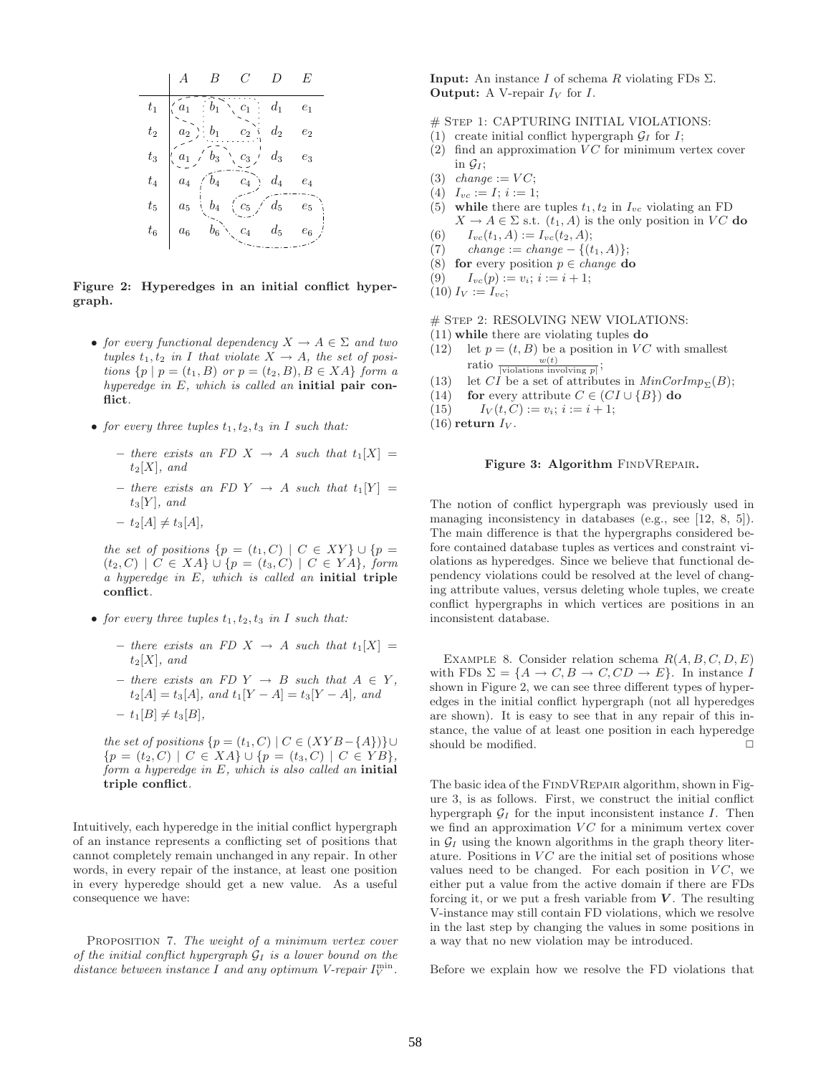A B C D E  
\n
$$
t_1
$$
  $\begin{pmatrix} a_1 & b_1 & c_1 \\ a_2 & b_1 & c_2 \\ a_2 & b_1 & c_2 \end{pmatrix} d_1 e_1$   
\n $t_2$   $\begin{pmatrix} a_1 & b_3 & c_3 & d_3 \\ a_4 & b_4 & c_4 & d_4 \\ a_5 & b_4 & c_5 & d_5 & e_5 \end{pmatrix}$   
\n $t_6$   $t_7$   $t_8$   $t_9$   $t_9$   $t_{10}$   $t_{11}$ 

Figure 2: Hyperedges in an initial conflict hypergraph.

- for every functional dependency  $X \to A \in \Sigma$  and two tuples  $t_1, t_2$  in I that violate  $X \to A$ , the set of positions  $\{p \mid p = (t_1, B) \text{ or } p = (t_2, B), B \in X\}$  form a hyperedge in  $E$ , which is called an initial pair conflict.
- for every three tuples  $t_1, t_2, t_3$  in I such that:
	- there exists an FD  $X \rightarrow A$  such that  $t_1[X] =$  $t_2[X]$ , and
	- there exists an FD Y  $\rightarrow$  A such that  $t_1[Y] =$  $t_3[Y]$ , and
	- $t_2[A] \neq t_3[A],$

the set of positions  $\{p = (t_1, C) \mid C \in XY\} \cup \{p =$  $(t_2, C)$  |  $C \in XA$ } ∪ { $p = (t_3, C)$  |  $C \in YA$ }, form a hyperedge in E, which is called an initial triple conflict.

- for every three tuples  $t_1, t_2, t_3$  in I such that:
	- there exists an FD X  $\rightarrow$  A such that  $t_1[X] =$  $t_2[X]$ , and
	- there exists an FD  $Y \rightarrow B$  such that  $A \in Y$ ,  $t_2[A] = t_3[A]$ , and  $t_1[Y - A] = t_3[Y - A]$ , and
	- $t_1[B] \neq t_3[B],$

the set of positions  $\{p = (t_1, C) \mid C \in (XYB - \{A\})\} \cup$  ${p = (t_2, C) | C \in XA} \cup {p = (t_3, C) | C \in YB},$ form a hyperedge in  $E$ , which is also called an initial triple conflict.

Intuitively, each hyperedge in the initial conflict hypergraph of an instance represents a conflicting set of positions that cannot completely remain unchanged in any repair. In other words, in every repair of the instance, at least one position in every hyperedge should get a new value. As a useful consequence we have:

PROPOSITION 7. The weight of a minimum vertex cover of the initial conflict hypergraph  $G_I$  is a lower bound on the distance between instance I and any optimum V-repair  $I_V^{\min}$ .

**Input:** An instance I of schema R violating FDs  $\Sigma$ . **Output:** A V-repair  $I_V$  for  $I$ .

- # Step 1: CAPTURING INITIAL VIOLATIONS:
- (1) create initial conflict hypergraph  $\mathcal{G}_I$  for  $I$ ;
- (2) find an approximation  $VC$  for minimum vertex cover in  $\mathcal{G}_I$ ;
- (3) change  $:= VC;$
- (4)  $I_{vc} := I; i := 1;$
- (5) while there are tuples  $t_1, t_2$  in  $I_{vc}$  violating an FD  $X \to A \in \Sigma$  s.t.  $(t_1, A)$  is the only position in VC do
- (6)  $I_{vc}(t_1, A) := I_{vc}(t_2, A);$
- (7) change := change  $\{(t_1, A)\};$
- (8) for every position  $p \in change$  do
- (9)  $I_{vc}(p) := v_i; i := i + 1;$
- $(10) I_V := I_{vc};$

# Step 2: RESOLVING NEW VIOLATIONS:

- (11) while there are violating tuples do
- (12) let  $p = (t, B)$  be a position in VC with smallest ratio  $\frac{w(t)}{|$ violations involving  $p|$ ;
- (13) let CI be a set of attributes in  $MinCorImp_{\Sigma}(B)$ ;<br>(14) for every attribute  $C \in (CI \cup \{B\})$  do
- for every attribute  $C \in (CI \cup \{B\})$  do
- (15)  $I_V(t, C) := v_i; i := i + 1;$
- (16) return  $I_V$ .

#### Figure 3: Algorithm FINDVREPAIR.

The notion of conflict hypergraph was previously used in managing inconsistency in databases (e.g., see [12, 8, 5]). The main difference is that the hypergraphs considered before contained database tuples as vertices and constraint violations as hyperedges. Since we believe that functional dependency violations could be resolved at the level of changing attribute values, versus deleting whole tuples, we create conflict hypergraphs in which vertices are positions in an inconsistent database.

EXAMPLE 8. Consider relation schema  $R(A, B, C, D, E)$ with FDs  $\Sigma = \{A \rightarrow C, B \rightarrow C, CD \rightarrow E\}$ . In instance I shown in Figure 2, we can see three different types of hyperedges in the initial conflict hypergraph (not all hyperedges are shown). It is easy to see that in any repair of this instance, the value of at least one position in each hyperedge should be modified.  $\hfill\Box$ 

The basic idea of the FINDVREPAIR algorithm, shown in Figure 3, is as follows. First, we construct the initial conflict hypergraph  $\mathcal{G}_I$  for the input inconsistent instance I. Then we find an approximation  $VC$  for a minimum vertex cover in  $\mathcal{G}_I$  using the known algorithms in the graph theory literature. Positions in  $VC$  are the initial set of positions whose values need to be changed. For each position in  $VC$ , we either put a value from the active domain if there are FDs forcing it, or we put a fresh variable from  $V$ . The resulting V-instance may still contain FD violations, which we resolve in the last step by changing the values in some positions in a way that no new violation may be introduced.

Before we explain how we resolve the FD violations that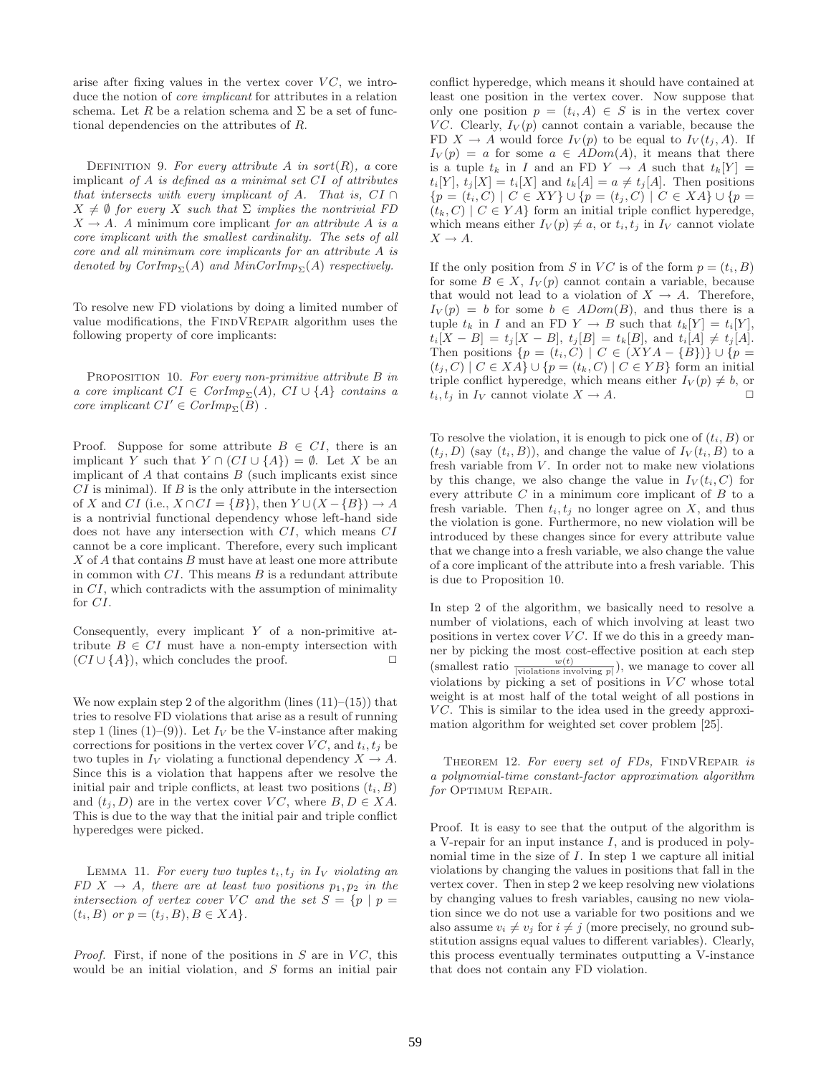arise after fixing values in the vertex cover  $VC$ , we introduce the notion of core implicant for attributes in a relation schema. Let R be a relation schema and  $\Sigma$  be a set of functional dependencies on the attributes of R.

DEFINITION 9. For every attribute A in sort $(R)$ , a core implicant of A is defined as a minimal set CI of attributes that intersects with every implicant of A. That is,  $CI \cap$  $X \neq \emptyset$  for every X such that  $\Sigma$  implies the nontrivial FD  $X \rightarrow A$ . A minimum core implicant for an attribute A is a core implicant with the smallest cardinality. The sets of all core and all minimum core implicants for an attribute A is denoted by  $CorImp_{\Sigma}(A)$  and  $MinCorImp_{\Sigma}(A)$  respectively.

To resolve new FD violations by doing a limited number of value modifications, the FindVRepair algorithm uses the following property of core implicants:

PROPOSITION 10. For every non-primitive attribute B in a core implicant  $CI \in CorImp_{\Sigma}(A), CI \cup \{A\}$  contains a core implicant  $CI' \in CorImp_{\Sigma}(B)$ .

Proof. Suppose for some attribute  $B \in CI$ , there is an implicant Y such that  $Y \cap (CI \cup \{A\}) = \emptyset$ . Let X be an implicant of  $A$  that contains  $B$  (such implicants exist since  $CI$  is minimal). If  $B$  is the only attribute in the intersection of X and CI (i.e.,  $X \cap CI = \{B\}$ ), then  $Y \cup (X - \{B\}) \rightarrow A$ is a nontrivial functional dependency whose left-hand side does not have any intersection with CI, which means CI cannot be a core implicant. Therefore, every such implicant  $X$  of  $A$  that contains  $B$  must have at least one more attribute in common with  $CI$ . This means  $B$  is a redundant attribute in  $CI$ , which contradicts with the assumption of minimality for CI.

Consequently, every implicant Y of a non-primitive attribute  $B \in CI$  must have a non-empty intersection with  $(CI \cup \{A\})$ , which concludes the proof.  $\Box$ 

We now explain step 2 of the algorithm (lines  $(11)–(15)$ ) that tries to resolve FD violations that arise as a result of running step 1 (lines (1)–(9)). Let  $I_V$  be the V-instance after making corrections for positions in the vertex cover  $VC$ , and  $t_i, t_j$  be two tuples in  $I_V$  violating a functional dependency  $X \to A$ . Since this is a violation that happens after we resolve the initial pair and triple conflicts, at least two positions  $(t_i, B)$ and  $(t_i, D)$  are in the vertex cover VC, where  $B, D \in XA$ . This is due to the way that the initial pair and triple conflict hyperedges were picked.

LEMMA 11. For every two tuples  $t_i, t_j$  in  $I_V$  violating an FD  $X \rightarrow A$ , there are at least two positions  $p_1, p_2$  in the intersection of vertex cover VC and the set  $S = \{p \mid p =$  $(t_i, B)$  or  $p = (t_j, B), B \in XA$ .

*Proof.* First, if none of the positions in  $S$  are in  $VC$ , this would be an initial violation, and S forms an initial pair

conflict hyperedge, which means it should have contained at least one position in the vertex cover. Now suppose that only one position  $p = (t_i, A) \in S$  is in the vertex cover VC. Clearly,  $I_V(p)$  cannot contain a variable, because the FD  $X \to A$  would force  $I_V(p)$  to be equal to  $I_V(t_j, A)$ . If  $I_V(p) = a$  for some  $a \in ADom(A)$ , it means that there is a tuple  $t_k$  in I and an FD  $Y \to A$  such that  $t_k[Y] =$  $t_i[Y], t_i[X] = t_i[X]$  and  $t_k[A] = a \neq t_i[A]$ . Then positions  ${p = (t_i, C) \mid C \in XY} \cup {p = (t_i, C) \mid C \in XA} \cup {p =$  $(t_k, C)$  |  $C \in YA$  form an initial triple conflict hyperedge, which means either  $I_V(p) \neq a$ , or  $t_i, t_j$  in  $I_V$  cannot violate  $X \rightarrow A$ .

If the only position from S in VC is of the form  $p = (t_i, B)$ for some  $B \in X$ ,  $I_V(p)$  cannot contain a variable, because that would not lead to a violation of  $X \to A$ . Therefore,  $I_V(p) = b$  for some  $b \in ADom(B)$ , and thus there is a tuple  $t_k$  in I and an FD  $Y \to B$  such that  $t_k[Y] = t_i[Y]$ ,  $t_i[X - B] = t_i[X - B], t_i[B] = t_k[B],$  and  $t_i[A] \neq t_i[A].$ Then positions  $\{p = (t_i, C) \mid C \in (XYA - \{B\})\} \cup \{p =$  $(t_i, C) | C \in XA \} \cup \{p = (t_k, C) | C \in YB\}$  form an initial triple conflict hyperedge, which means either  $I_V(p) \neq b$ , or  $t_i, t_j$  in  $I_V$  cannot violate  $X \to A$ .

To resolve the violation, it is enough to pick one of  $(t_i, B)$  or  $(t_i, D)$  (say  $(t_i, B)$ ), and change the value of  $I_V(t_i, B)$  to a fresh variable from  $V$ . In order not to make new violations by this change, we also change the value in  $I_V(t_i, C)$  for every attribute  $C$  in a minimum core implicant of  $B$  to a fresh variable. Then  $t_i, t_j$  no longer agree on X, and thus the violation is gone. Furthermore, no new violation will be introduced by these changes since for every attribute value that we change into a fresh variable, we also change the value of a core implicant of the attribute into a fresh variable. This is due to Proposition 10.

In step 2 of the algorithm, we basically need to resolve a number of violations, each of which involving at least two positions in vertex cover  $VC$ . If we do this in a greedy manner by picking the most cost-effective position at each step (smallest ratio  $\frac{w(t)}{|\text{violutions involving } p|}$ ), we manage to cover all violations by picking a set of positions in  $VC$  whose total weight is at most half of the total weight of all postions in  $VC$ . This is similar to the idea used in the greedy approximation algorithm for weighted set cover problem [25].

THEOREM 12. For every set of FDs, FINDVREPAIR is a polynomial-time constant-factor approximation algorithm for Optimum Repair.

Proof. It is easy to see that the output of the algorithm is a V-repair for an input instance I, and is produced in polynomial time in the size of I. In step 1 we capture all initial violations by changing the values in positions that fall in the vertex cover. Then in step 2 we keep resolving new violations by changing values to fresh variables, causing no new violation since we do not use a variable for two positions and we also assume  $v_i \neq v_j$  for  $i \neq j$  (more precisely, no ground substitution assigns equal values to different variables). Clearly, this process eventually terminates outputting a V-instance that does not contain any FD violation.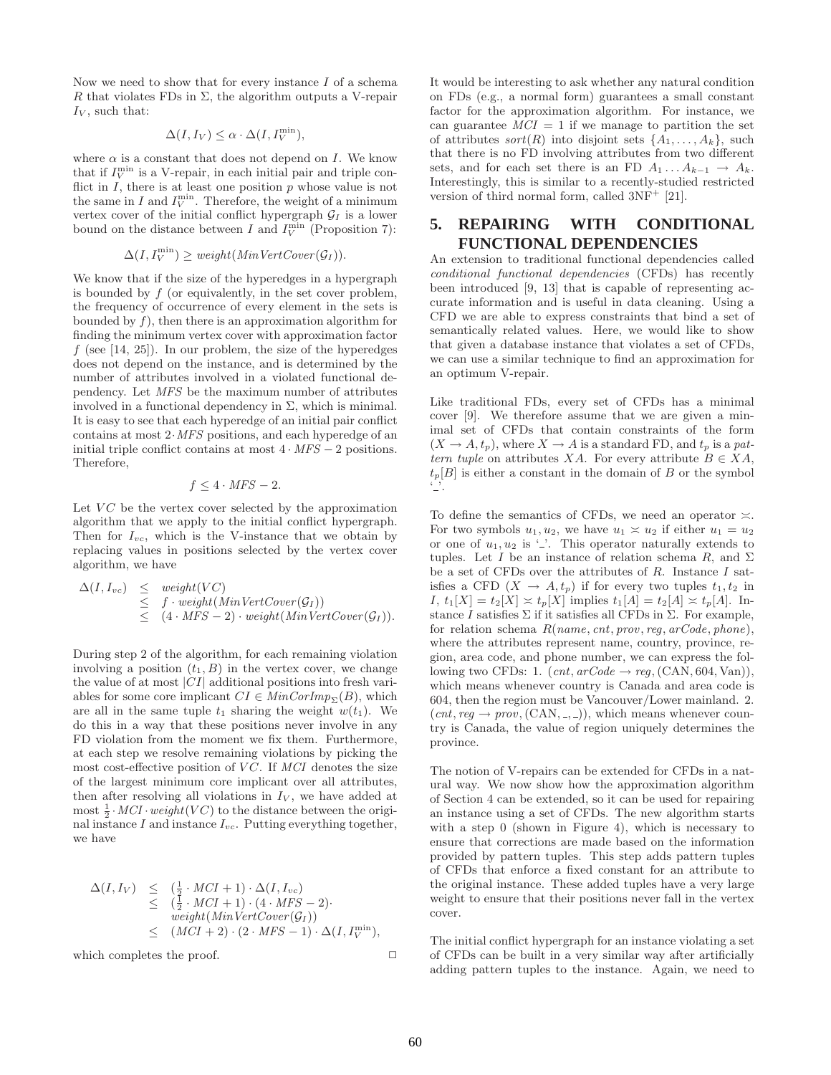Now we need to show that for every instance  $I$  of a schema R that violates FDs in  $\Sigma$ , the algorithm outputs a V-repair  $I_V$ , such that:

$$
\Delta(I, I_V) \le \alpha \cdot \Delta(I, I_V^{\min}),
$$

where  $\alpha$  is a constant that does not depend on I. We know that if  $I_V^{\text{min}}$  is a V-repair, in each initial pair and triple conflict in  $I$ , there is at least one position  $p$  whose value is not the same in  $I$  and  $I_V^{\min}$ . Therefore, the weight of a minimum vertex cover of the initial conflict hypergraph  $\mathcal{G}_I$  is a lower bound on the distance between I and  $I_V^{\min}$  (Proposition 7):

$$
\Delta(I, I_V^{\min}) \geq weight(MinVertCover(\mathcal{G}_I)).
$$

We know that if the size of the hyperedges in a hypergraph is bounded by  $f$  (or equivalently, in the set cover problem, the frequency of occurrence of every element in the sets is bounded by  $f$ ), then there is an approximation algorithm for finding the minimum vertex cover with approximation factor  $f$  (see [14, 25]). In our problem, the size of the hyperedges does not depend on the instance, and is determined by the number of attributes involved in a violated functional dependency. Let MFS be the maximum number of attributes involved in a functional dependency in  $\Sigma$ , which is minimal. It is easy to see that each hyperedge of an initial pair conflict contains at most  $2 \cdot MFS$  positions, and each hyperedge of an initial triple conflict contains at most  $4 \cdot MFS - 2$  positions. Therefore,

$$
f \le 4 \cdot MFS - 2.
$$

Let  $VC$  be the vertex cover selected by the approximation algorithm that we apply to the initial conflict hypergraph. Then for  $I_{vc}$ , which is the V-instance that we obtain by replacing values in positions selected by the vertex cover algorithm, we have

$$
\Delta(I, I_{vc}) \leq weight(VC)
$$
  
\n
$$
\leq f \cdot weight(MinVertCover(G_I))
$$
  
\n
$$
\leq (4 \cdot MFS - 2) \cdot weight(MinVertCover(G_I)).
$$

During step 2 of the algorithm, for each remaining violation involving a position  $(t_1, B)$  in the vertex cover, we change the value of at most  $|CI|$  additional positions into fresh variables for some core implicant  $CI \in MinCorImp_{\Sigma}(B)$ , which are all in the same tuple  $t_1$  sharing the weight  $w(t_1)$ . We do this in a way that these positions never involve in any FD violation from the moment we fix them. Furthermore, at each step we resolve remaining violations by picking the most cost-effective position of  $VC$ . If  $MCI$  denotes the size of the largest minimum core implicant over all attributes, then after resolving all violations in  $I_V$ , we have added at most  $\frac{1}{2} \cdot MCI \cdot weight(VC)$  to the distance between the original instance I and instance  $I_{vc}$ . Putting everything together, we have

$$
\Delta(I, I_V) \leq (\frac{1}{2} \cdot MCI + 1) \cdot \Delta(I, I_{vc})
$$
  
\n
$$
\leq (\frac{1}{2} \cdot MCI + 1) \cdot (4 \cdot MFS - 2)
$$
  
\n
$$
\leq \text{(MCI + 2)} \cdot (2 \cdot MFS - 1) \cdot \Delta(I, I_V^{\min}),
$$

which completes the proof.  $\Box$ 

It would be interesting to ask whether any natural condition on FDs (e.g., a normal form) guarantees a small constant factor for the approximation algorithm. For instance, we can guarantee  $MCI = 1$  if we manage to partition the set of attributes  $sort(R)$  into disjoint sets  $\{A_1, \ldots, A_k\}$ , such that there is no FD involving attributes from two different sets, and for each set there is an FD  $A_1 \dots A_{k-1} \rightarrow A_k$ . Interestingly, this is similar to a recently-studied restricted version of third normal form, called  $3NF^+$  [21].

# **5. REPAIRING WITH CONDITIONAL FUNCTIONAL DEPENDENCIES**

An extension to traditional functional dependencies called conditional functional dependencies (CFDs) has recently been introduced [9, 13] that is capable of representing accurate information and is useful in data cleaning. Using a CFD we are able to express constraints that bind a set of semantically related values. Here, we would like to show that given a database instance that violates a set of CFDs, we can use a similar technique to find an approximation for an optimum V-repair.

Like traditional FDs, every set of CFDs has a minimal cover [9]. We therefore assume that we are given a minimal set of CFDs that contain constraints of the form  $(X \to A, t_p)$ , where  $X \to A$  is a standard FD, and  $t_p$  is a pattern tuple on attributes XA. For every attribute  $B \in XA$ ,  $t_p[B]$  is either a constant in the domain of B or the symbol  $\cdot \frac{1}{2}$ .

To define the semantics of CFDs, we need an operator  $\approx$ . For two symbols  $u_1, u_2$ , we have  $u_1 \approx u_2$  if either  $u_1 = u_2$ or one of  $u_1, u_2$  is '.'. This operator naturally extends to tuples. Let I be an instance of relation schema R, and  $\Sigma$ be a set of CFDs over the attributes of  $R$ . Instance  $I$  satisfies a CFD  $(X \to A, t_p)$  if for every two tuples  $t_1, t_2$  in I,  $t_1[X] = t_2[X] \times t_p[X]$  implies  $t_1[A] = t_2[A] \times t_p[A]$ . Instance I satisfies  $\Sigma$  if it satisfies all CFDs in  $\Sigma$ . For example, for relation schema  $R(name, cnt, prov, reg, arCode, phone),$ where the attributes represent name, country, province, region, area code, and phone number, we can express the following two CFDs: 1.  $(\text{cnt}, \text{arCode} \rightarrow \text{reg}, (\text{CAN}, 604, \text{Van})),$ which means whenever country is Canada and area code is 604, then the region must be Vancouver/Lower mainland. 2.  $(cnt, reg \rightarrow prov, (CAN, \_, \_$ ), which means whenever country is Canada, the value of region uniquely determines the province.

The notion of V-repairs can be extended for CFDs in a natural way. We now show how the approximation algorithm of Section 4 can be extended, so it can be used for repairing an instance using a set of CFDs. The new algorithm starts with a step 0 (shown in Figure 4), which is necessary to ensure that corrections are made based on the information provided by pattern tuples. This step adds pattern tuples of CFDs that enforce a fixed constant for an attribute to the original instance. These added tuples have a very large weight to ensure that their positions never fall in the vertex cover.

The initial conflict hypergraph for an instance violating a set of CFDs can be built in a very similar way after artificially adding pattern tuples to the instance. Again, we need to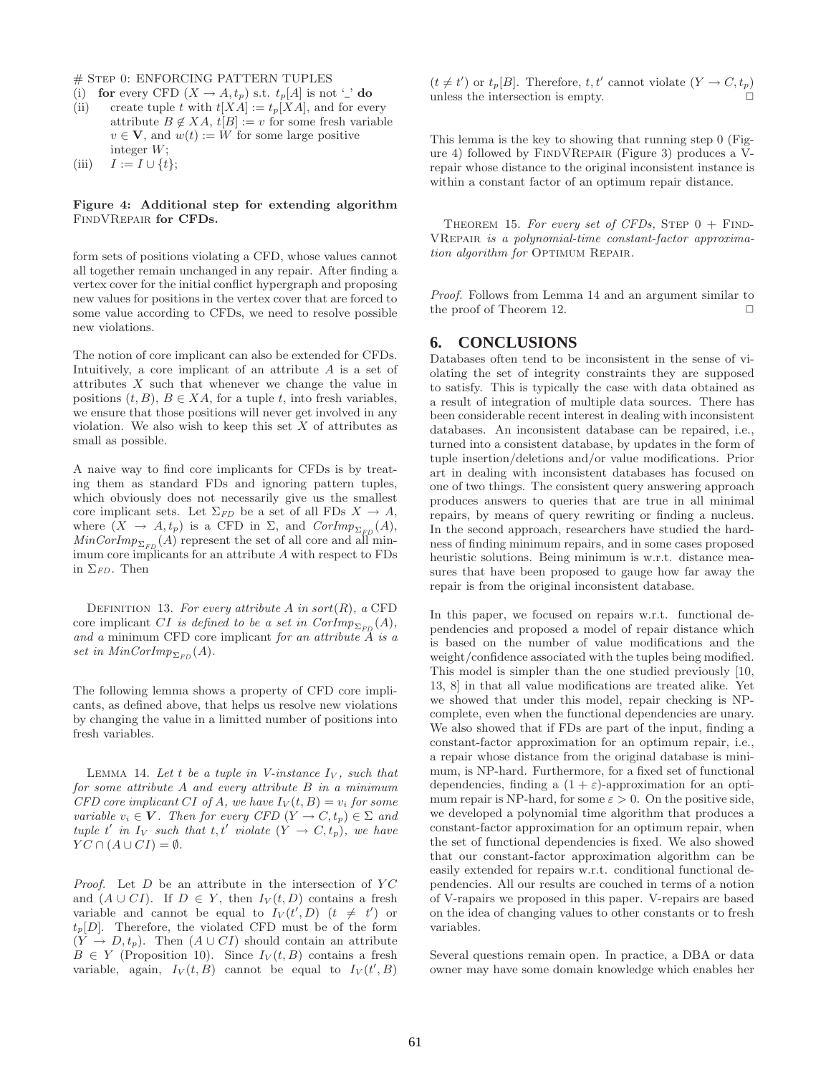#### # Step 0: ENFORCING PATTERN TUPLES

- (i) for every CFD  $(X \to A, t_p)$  s.t.  $t_p[A]$  is not '\_' do
- (ii) create tuple t with  $t[XA] := t_p[XA]$ , and for every attribute  $B \notin XA$ ,  $t[B] := v$  for some fresh variable  $v \in V$ , and  $w(t) := W$  for some large positive integer W;
- (iii)  $I := I \cup \{t\};$

#### Figure 4: Additional step for extending algorithm FindVRepair for CFDs.

form sets of positions violating a CFD, whose values cannot all together remain unchanged in any repair. After finding a vertex cover for the initial conflict hypergraph and proposing new values for positions in the vertex cover that are forced to some value according to CFDs, we need to resolve possible new violations.

The notion of core implicant can also be extended for CFDs. Intuitively, a core implicant of an attribute A is a set of attributes X such that whenever we change the value in positions  $(t, B)$ ,  $B \in XA$ , for a tuple t, into fresh variables, we ensure that those positions will never get involved in any violation. We also wish to keep this set  $X$  of attributes as small as possible.

A naive way to find core implicants for CFDs is by treating them as standard FDs and ignoring pattern tuples, which obviously does not necessarily give us the smallest core implicant sets. Let  $\Sigma_{FD}$  be a set of all FDs  $X \to A$ , where  $(X \to A, t_p)$  is a CFD in  $\Sigma$ , and  $CorImp_{\Sigma_{FD}}(A)$ ,  $MinCorImp_{\Sigma_{FD}}(A)$  represent the set of all core and all minimum core implicants for an attribute A with respect to FDs in  $\Sigma_{FD}$ . Then

DEFINITION 13. For every attribute A in sort $(R)$ , a CFD core implicant CI is defined to be a set in  $CorImp_{\Sigma_{FD}}(A)$ , and a minimum CFD core implicant for an attribute  $\overline{A}$  is a set in  $MinCorImp_{\Sigma_{FD}}(A)$ .

The following lemma shows a property of CFD core implicants, as defined above, that helps us resolve new violations by changing the value in a limitted number of positions into fresh variables.

LEMMA 14. Let t be a tuple in V-instance  $I_V$ , such that for some attribute  $A$  and every attribute  $B$  in a minimum CFD core implicant CI of A, we have  $I_V(t, B) = v_i$  for some variable  $v_i \in V$ . Then for every CFD  $(Y \to C, t_p) \in \Sigma$  and tuple t' in  $I_V$  such that t, t' violate  $(Y \to C, t_p)$ , we have  $YC \cap (A \cup CI) = \emptyset.$ 

*Proof.* Let  $D$  be an attribute in the intersection of  $YC$ and  $(A \cup CI)$ . If  $D \in Y$ , then  $I_V(t, D)$  contains a fresh variable and cannot be equal to  $I_V(t', D)$   $(t \neq t')$  or  $t_p[D]$ . Therefore, the violated CFD must be of the form  $(Y \to D, t_p)$ . Then  $(A \cup CI)$  should contain an attribute  $B \in Y$  (Proposition 10). Since  $I_V(t, B)$  contains a fresh variable, again,  $I_V(t, B)$  cannot be equal to  $I_V(t', B)$ 

 $(t \neq t')$  or  $t_p[B]$ . Therefore,  $t, t'$  cannot violate  $(Y \rightarrow C, t_p)$ unless the intersection is empty.

This lemma is the key to showing that running step 0 (Figure 4) followed by  $FINDVREPAIR$  (Figure 3) produces a Vrepair whose distance to the original inconsistent instance is within a constant factor of an optimum repair distance.

THEOREM 15. For every set of CFDs, STEP  $0 +$  FIND-VRepair is a polynomial-time constant-factor approximation algorithm for OPTIMUM REPAIR.

Proof. Follows from Lemma 14 and an argument similar to the proof of Theorem 12.  $\Box$ 

### **6. CONCLUSIONS**

Databases often tend to be inconsistent in the sense of violating the set of integrity constraints they are supposed to satisfy. This is typically the case with data obtained as a result of integration of multiple data sources. There has been considerable recent interest in dealing with inconsistent databases. An inconsistent database can be repaired, i.e., turned into a consistent database, by updates in the form of tuple insertion/deletions and/or value modifications. Prior art in dealing with inconsistent databases has focused on one of two things. The consistent query answering approach produces answers to queries that are true in all minimal repairs, by means of query rewriting or finding a nucleus. In the second approach, researchers have studied the hardness of finding minimum repairs, and in some cases proposed heuristic solutions. Being minimum is w.r.t. distance measures that have been proposed to gauge how far away the repair is from the original inconsistent database.

In this paper, we focused on repairs w.r.t. functional dependencies and proposed a model of repair distance which is based on the number of value modifications and the weight/confidence associated with the tuples being modified. This model is simpler than the one studied previously [10, 13, 8] in that all value modifications are treated alike. Yet we showed that under this model, repair checking is NPcomplete, even when the functional dependencies are unary. We also showed that if FDs are part of the input, finding a constant-factor approximation for an optimum repair, i.e., a repair whose distance from the original database is minimum, is NP-hard. Furthermore, for a fixed set of functional dependencies, finding a  $(1 + \varepsilon)$ -approximation for an optimum repair is NP-hard, for some  $\varepsilon > 0$ . On the positive side, we developed a polynomial time algorithm that produces a constant-factor approximation for an optimum repair, when the set of functional dependencies is fixed. We also showed that our constant-factor approximation algorithm can be easily extended for repairs w.r.t. conditional functional dependencies. All our results are couched in terms of a notion of V-rapairs we proposed in this paper. V-repairs are based on the idea of changing values to other constants or to fresh variables.

Several questions remain open. In practice, a DBA or data owner may have some domain knowledge which enables her